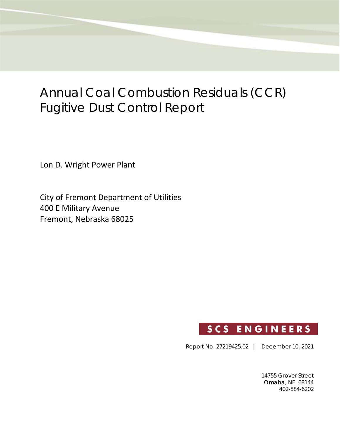# Annual Coal Combustion Residuals (CCR) Fugitive Dust Control Report

Lon D. Wright Power Plant

City of Fremont Department of Utilities 400 E Military Avenue Fremont, Nebraska 68025



Report No. 27219425.02 | December 10, 2021

14755 Grover Street Omaha, NE 68144 402-884-6202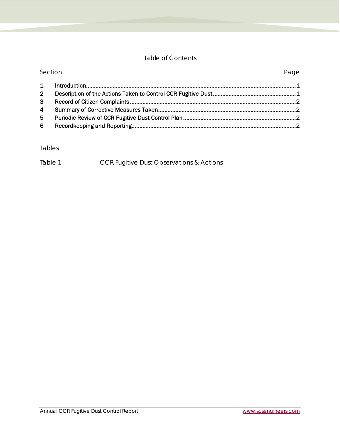#### Table of Contents

| Section        |  | Page |
|----------------|--|------|
| $\mathbf{1}$   |  |      |
| 2 <sup>7</sup> |  |      |
| 3 <sup>1</sup> |  |      |
| $\overline{4}$ |  |      |
| 5 <sub>1</sub> |  |      |
| 6              |  |      |

#### Tables

| Table 1 |  | CCR Fugitive Dust Observations & Actions |
|---------|--|------------------------------------------|
|---------|--|------------------------------------------|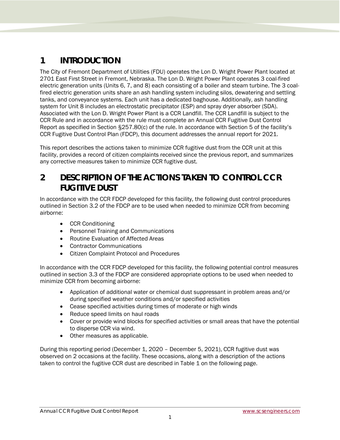#### **1 INTRODUCTION**

The City of Fremont Department of Utilities (FDU) operates the Lon D. Wright Power Plant located at 2701 East First Street in Fremont, Nebraska. The Lon D. Wright Power Plant operates 3 coal-fired electric generation units (Units 6, 7, and 8) each consisting of a boiler and steam turbine. The 3 coalfired electric generation units share an ash handling system including silos, dewatering and settling tanks, and conveyance systems. Each unit has a dedicated baghouse. Additionally, ash handling system for Unit 8 includes an electrostatic precipitator (ESP) and spray dryer absorber (SDA). Associated with the Lon D. Wright Power Plant is a CCR Landfill. The CCR Landfill is subject to the CCR Rule and in accordance with the rule must complete an Annual CCR Fugitive Dust Control Report as specified in Section §257.80(c) of the rule. In accordance with Section 5 of the facility's CCR Fugitive Dust Control Plan (FDCP), this document addresses the annual report for 2021.

This report describes the actions taken to minimize CCR fugitive dust from the CCR unit at this facility, provides a record of citizen complaints received since the previous report, and summarizes any corrective measures taken to minimize CCR fugitive dust.

### **2 DESCRIPTION OF THE ACTIONS TAKEN TO CONTROL CCR FUGITIVE DUST**

In accordance with the CCR FDCP developed for this facility, the following dust control procedures outlined in Section 3.2 of the FDCP are to be used when needed to minimize CCR from becoming airborne:

- CCR Conditioning
- **•** Personnel Training and Communications
- Routine Evaluation of Affected Areas
- Contractor Communications
- Citizen Complaint Protocol and Procedures

In accordance with the CCR FDCP developed for this facility, the following potential control measures outlined in section 3.3 of the FDCP are considered appropriate options to be used when needed to minimize CCR from becoming airborne:

- Application of additional water or chemical dust suppressant in problem areas and/or during specified weather conditions and/or specified activities
- Cease specified activities during times of moderate or high winds
- Reduce speed limits on haul roads
- Cover or provide wind blocks for specified activities or small areas that have the potential to disperse CCR via wind.
- Other measures as applicable.

During this reporting period (December 1, 2020 – December 5, 2021), CCR fugitive dust was observed on 2 occasions at the facility. These occasions, along with a description of the actions taken to control the fugitive CCR dust are described in Table 1 on the following page.